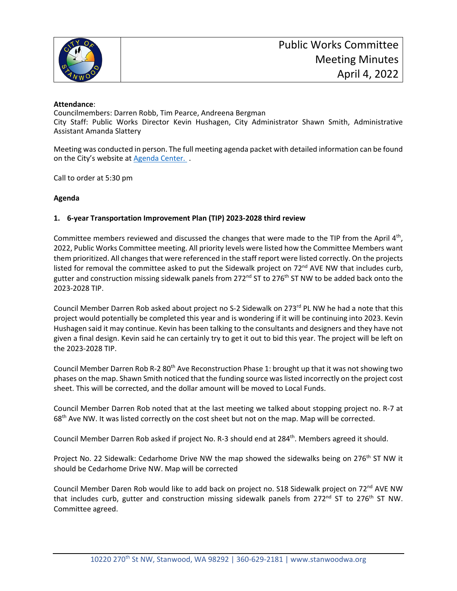

## **Attendance**:

Councilmembers: Darren Robb, Tim Pearce, Andreena Bergman City Staff: Public Works Director Kevin Hushagen, City Administrator Shawn Smith, Administrative Assistant Amanda Slattery

Meeting was conducted in person. The full meeting agenda packet with detailed information can be found on the City's website at [Agenda Center.](https://stanwoodwa.org/AgendaCenter) .

Call to order at 5:30 pm

## **Agenda**

## **1. 6-year Transportation Improvement Plan (TIP) 2023-2028 third review**

Committee members reviewed and discussed the changes that were made to the TIP from the April 4<sup>th</sup>, 2022, Public Works Committee meeting. All priority levels were listed how the Committee Members want them prioritized. All changes that were referenced in the staff report were listed correctly. On the projects listed for removal the committee asked to put the Sidewalk project on 72<sup>nd</sup> AVE NW that includes curb, gutter and construction missing sidewalk panels from 272<sup>nd</sup> ST to 276<sup>th</sup> ST NW to be added back onto the 2023-2028 TIP.

Council Member Darren Rob asked about project no S-2 Sidewalk on 273<sup>rd</sup> PL NW he had a note that this project would potentially be completed this year and is wondering if it will be continuing into 2023. Kevin Hushagen said it may continue. Kevin has been talking to the consultants and designers and they have not given a final design. Kevin said he can certainly try to get it out to bid this year. The project will be left on the 2023-2028 TIP.

Council Member Darren Rob R-2 80<sup>th</sup> Ave Reconstruction Phase 1: brought up that it was not showing two phases on the map. Shawn Smith noticed that the funding source was listed incorrectly on the project cost sheet. This will be corrected, and the dollar amount will be moved to Local Funds.

Council Member Darren Rob noted that at the last meeting we talked about stopping project no. R-7 at 68<sup>th</sup> Ave NW. It was listed correctly on the cost sheet but not on the map. Map will be corrected.

Council Member Darren Rob asked if project No. R-3 should end at 284<sup>th</sup>. Members agreed it should.

Project No. 22 Sidewalk: Cedarhome Drive NW the map showed the sidewalks being on 276<sup>th</sup> ST NW it should be Cedarhome Drive NW. Map will be corrected

Council Member Daren Rob would like to add back on project no. S18 Sidewalk project on 72<sup>nd</sup> AVE NW that includes curb, gutter and construction missing sidewalk panels from 272<sup>nd</sup> ST to 276<sup>th</sup> ST NW. Committee agreed.